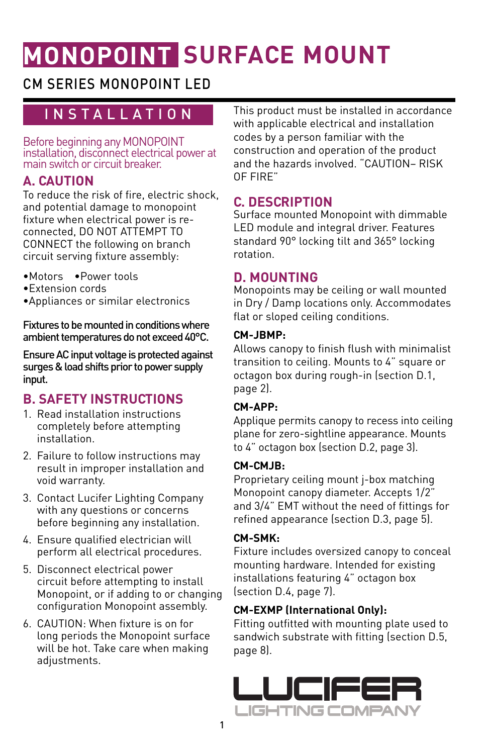# **MONOPOINT SURFACE MOUNT**

# CM SERIES MONOPOINT LED

# INSTALLATION

Before beginning any MONOPOINT installation, disconnect electrical power at main switch or circuit breaker.

#### **A. CAUTION**

To reduce the risk of fire, electric shock, and potential damage to monopoint fixture when electrical power is reconnected, DO NOT ATTEMPT TO CONNECT the following on branch circuit serving fixture assembly:

- •Motors •Power tools
- •Extension cords
- •Appliances or similar electronics

Fixtures to be mounted in conditions where ambient temperatures do not exceed 40°C.

Ensure AC input voltage is protected against surges & load shifts prior to power supply input.

# **B. SAFETY INSTRUCTIONS**

- 1. Read installation instructions completely before attempting installation.
- 2. Failure to follow instructions may result in improper installation and void warranty.
- 3. Contact Lucifer Lighting Company with any questions or concerns before beginning any installation.
- 4. Ensure qualified electrician will perform all electrical procedures.
- 5. Disconnect electrical power circuit before attempting to install Monopoint, or if adding to or changing configuration Monopoint assembly.
- 6. CAUTION: When fixture is on for long periods the Monopoint surface will be hot. Take care when making adjustments.

This product must be installed in accordance with applicable electrical and installation codes by a person familiar with the construction and operation of the product and the hazards involved. "CAUTION– RISK OF FIRE"

#### **C. DESCRIPTION**

Surface mounted Monopoint with dimmable LED module and integral driver. Features standard 90° locking tilt and 365° locking rotation.

#### **D. MOUNTING**

Monopoints may be ceiling or wall mounted in Dry / Damp locations only. Accommodates flat or sloped ceiling conditions.

#### **CM-JBMP:**

Allows canopy to finish flush with minimalist transition to ceiling. Mounts to 4" square or octagon box during rough-in (section D.1, page 2).

#### **CM-APP:**

Applique permits canopy to recess into ceiling plane for zero-sightline appearance. Mounts to 4" octagon box (section D.2, page 3).

#### **CM-CMJB:**

Proprietary ceiling mount j-box matching Monopoint canopy diameter. Accepts 1/2" and 3/4" EMT without the need of fittings for refined appearance (section D.3, page 5).

#### **CM-SMK:**

Fixture includes oversized canopy to conceal mounting hardware. Intended for existing installations featuring 4" octagon box (section D.4, page 7).

#### **CM-EXMP (International Only):**

Fitting outfitted with mounting plate used to sandwich substrate with fitting (section D.5, page 8).

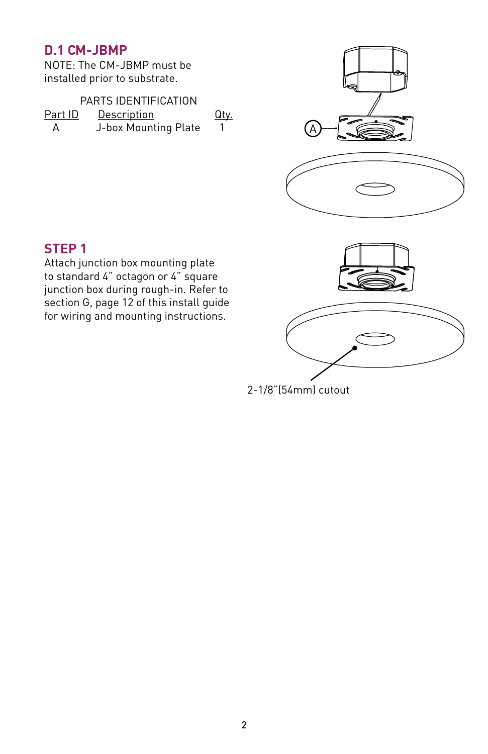#### **D.1 CM-JBMP**

NOTE: The CM-JBMP must be installed prior to substrate.

| PARTS IDENTIFICATION                  |                      |  |  |  |  |  |
|---------------------------------------|----------------------|--|--|--|--|--|
| Part ID<br>Description<br><u>Qty.</u> |                      |  |  |  |  |  |
| А                                     | J-box Mounting Plate |  |  |  |  |  |



# **STEP 1**

Attach junction box mounting plate to standard 4" octagon or 4" square junction box during rough-in. Refer to section G, page 12 of this install guide for wiring and mounting instructions.

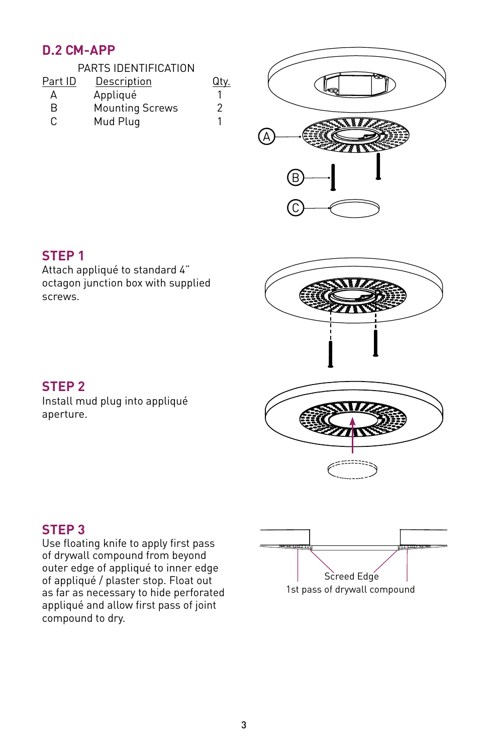# **D.2 CM-APP**

| PARTS IDENTIFICATION |                        |      |  |  |  |
|----------------------|------------------------|------|--|--|--|
| Part ID              | Description            | Qty. |  |  |  |
| А                    | Appliqué               |      |  |  |  |
| R                    | <b>Mounting Screws</b> | 2    |  |  |  |
| C                    | Mud Plug               |      |  |  |  |
|                      |                        |      |  |  |  |



#### **STEP 1**

Attach appliqué to standard 4" octagon junction box with supplied screws.



Install mud plug into appliqué aperture.

#### **STEP 3**

Use floating knife to apply first pass of drywall compound from beyond outer edge of appliqué to inner edge of appliqué / plaster stop. Float out as far as necessary to hide perforated appliqué and allow first pass of joint compound to dry.

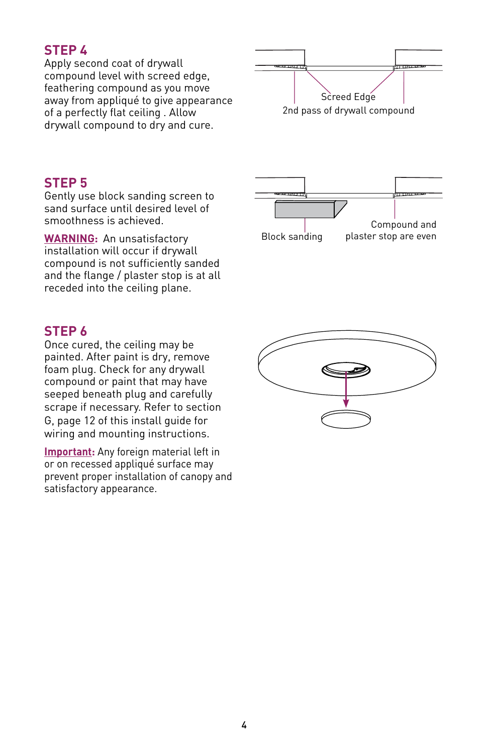# **STEP 4**

Apply second coat of drywall compound level with screed edge, feathering compound as you move away from appliqué to give appearance of a perfectly flat ceiling . Allow drywall compound to dry and cure.



#### **STEP 5**

Gently use block sanding screen to sand surface until desired level of smoothness is achieved.

**WARNING:** An unsatisfactory installation will occur if drywall compound is not sufficiently sanded and the flange / plaster stop is at all receded into the ceiling plane.

#### **STEP 6**

Once cured, the ceiling may be painted. After paint is dry, remove foam plug. Check for any drywall compound or paint that may have seeped beneath plug and carefully scrape if necessary. Refer to section G, page 12 of this install guide for wiring and mounting instructions.

**Important:** Any foreign material left in or on recessed appliqué surface may prevent proper installation of canopy and satisfactory appearance.



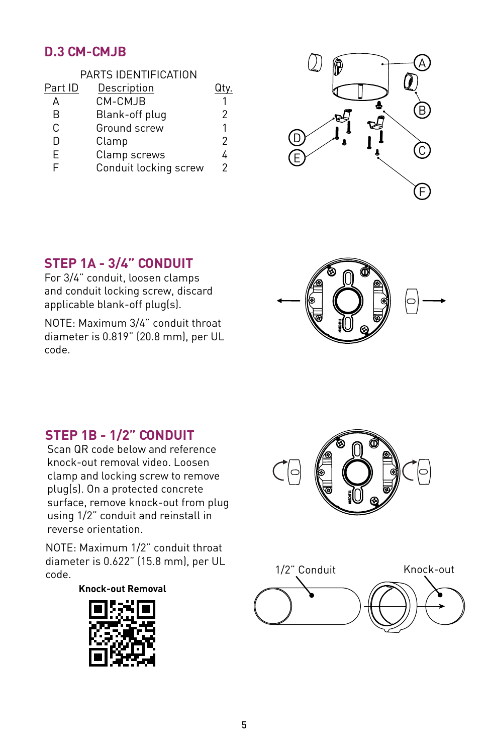# **D.3 CM-CMJB**

| PARTS IDENTIFICATION |                       |   |  |  |  |  |
|----------------------|-----------------------|---|--|--|--|--|
| Part ID              | Description           |   |  |  |  |  |
| А                    | CM-CMJB               |   |  |  |  |  |
| R                    | Blank-off plug        | 2 |  |  |  |  |
| C                    | Ground screw          | 1 |  |  |  |  |
| D                    | Clamp                 | 2 |  |  |  |  |
| F                    | Clamp screws          | 4 |  |  |  |  |
| E                    | Conduit locking screw | 2 |  |  |  |  |



# **STEP 1A - 3/4" CONDUIT**

For 3/4" conduit, loosen clamps and conduit locking screw, discard applicable blank-off plug(s).

NOTE: Maximum 3/4" conduit throat diameter is 0.819" (20.8 mm), per UL code.



### **STEP 1B - 1/2" CONDUIT**

Scan QR code below and reference knock-out removal video. Loosen clamp and locking screw to remove plug(s). On a protected concrete surface, remove knock-out from plug using 1/2" conduit and reinstall in reverse orientation.

NOTE: Maximum 1/2" conduit throat diameter is 0.622" (15.8 mm), per UL

#### **Knock-out Removal**





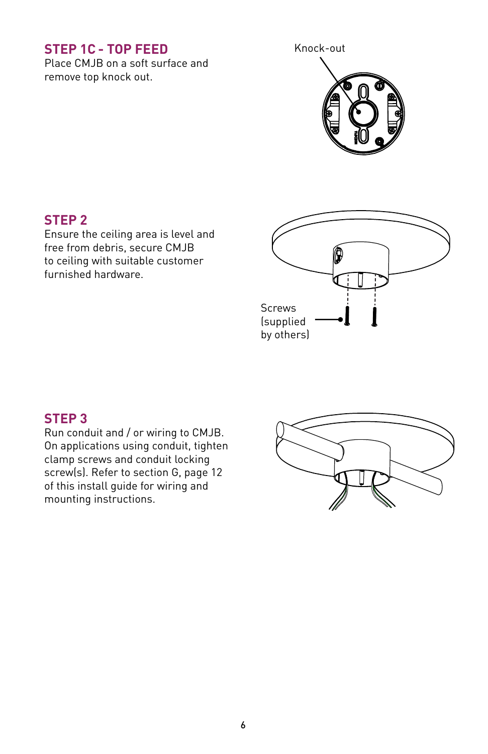# **STEP 1C - TOP FEED**

Place CMJB on a soft surface and remove top knock out.

Knock-out



#### **STEP 2**

Ensure the ceiling area is level and free from debris, secure CMJB to ceiling with suitable customer furnished hardware.



#### **STEP 3**

Run conduit and / or wiring to CMJB. On applications using conduit, tighten clamp screws and conduit locking screw(s). Refer to section G, page 12 of this install guide for wiring and mounting instructions.

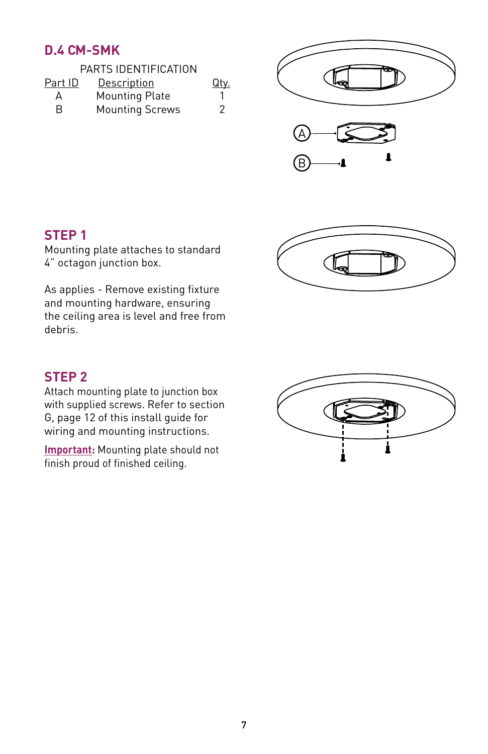# **D.4 CM-SMK**







#### **STEP 1**

Mounting plate attaches to standard 4" octagon junction box.

As applies - Remove existing fixture and mounting hardware, ensuring the ceiling area is level and free from debris.



Attach mounting plate to junction box with supplied screws. Refer to section G, page 12 of this install guide for wiring and mounting instructions.

**Important:** Mounting plate should not finish proud of finished ceiling.



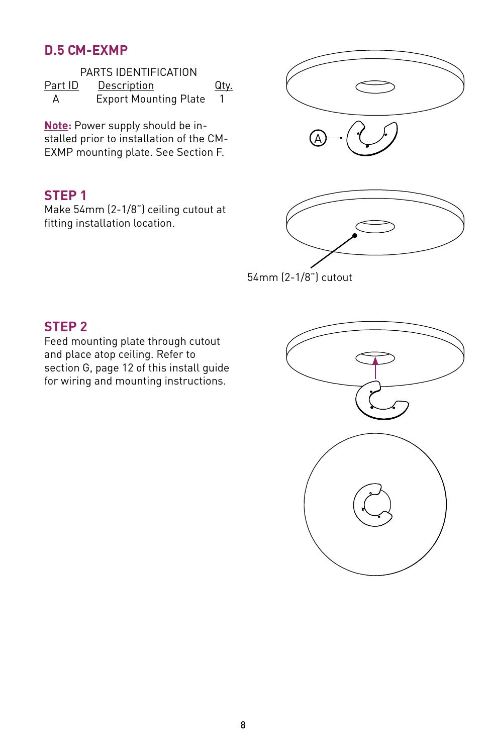#### **D.5 CM-EXMP**

| PARTS IDENTIFICATION           |                              |  |  |  |  |  |  |
|--------------------------------|------------------------------|--|--|--|--|--|--|
| Part ID<br>Description<br>Qty. |                              |  |  |  |  |  |  |
| А                              | <b>Export Mounting Plate</b> |  |  |  |  |  |  |

**Note:** Power supply should be installed prior to installation of the CM-EXMP mounting plate. See Section F.

#### **STEP 1**

Make 54mm (2-1/8") ceiling cutout at fitting installation location.





54mm (2-1/8") cutout

# **STEP 2**

Feed mounting plate through cutout and place atop ceiling. Refer to section G, page 12 of this install guide for wiring and mounting instructions.

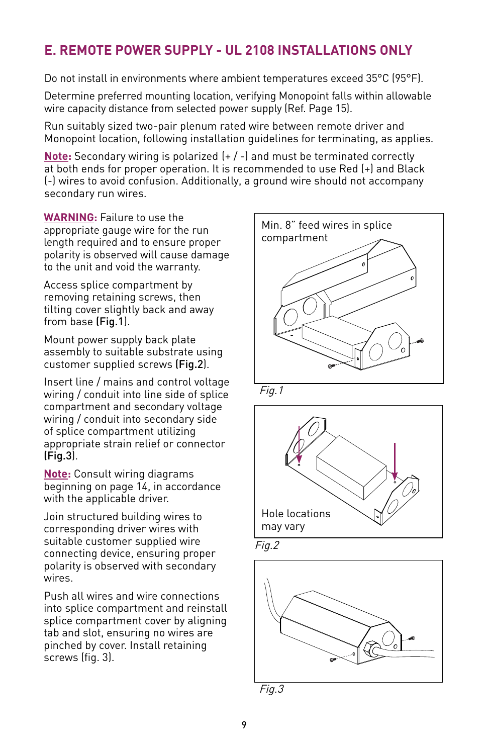# **E. REMOTE POWER SUPPLY - UL 2108 INSTALLATIONS ONLY**

Do not install in environments where ambient temperatures exceed 35°C (95°F).

Determine preferred mounting location, verifying Monopoint falls within allowable wire capacity distance from selected power supply (Ref. Page 15).

Run suitably sized two-pair plenum rated wire between remote driver and Monopoint location, following installation guidelines for terminating, as applies.

**Note:** Secondary wiring is polarized (+ / -) and must be terminated correctly at both ends for proper operation. It is recommended to use Red (+) and Black (-) wires to avoid confusion. Additionally, a ground wire should not accompany secondary run wires.

**WARNING:** Failure to use the appropriate gauge wire for the run length required and to ensure proper polarity is observed will cause damage to the unit and void the warranty.

Access splice compartment by removing retaining screws, then tilting cover slightly back and away from base (Fig.1).

Mount power supply back plate assembly to suitable substrate using customer supplied screws (Fig.2).

Insert line / mains and control voltage wiring / conduit into line side of splice compartment and secondary voltage wiring / conduit into secondary side of splice compartment utilizing appropriate strain relief or connector (Fig.3).

**Note:** Consult wiring diagrams beginning on page 14, in accordance with the applicable driver.

Join structured building wires to corresponding driver wires with suitable customer supplied wire connecting device, ensuring proper polarity is observed with secondary wires.

Push all wires and wire connections into splice compartment and reinstall splice compartment cover by aligning tab and slot, ensuring no wires are pinched by cover. Install retaining screws (fig. 3).



Fig.1







Fig.3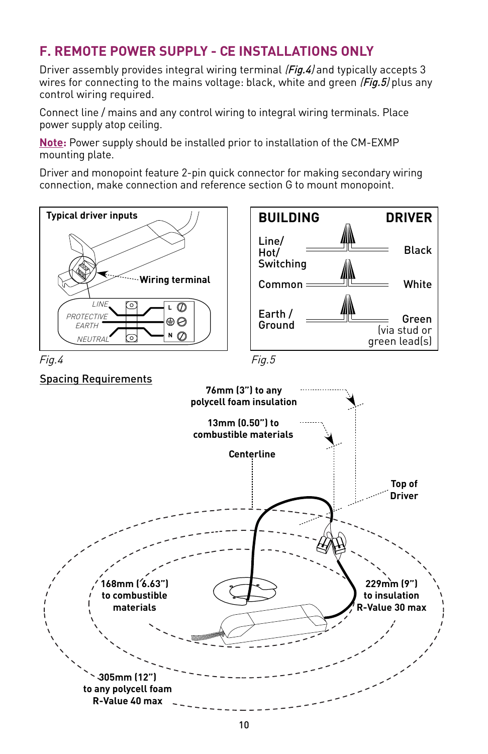# **F. REMOTE POWER SUPPLY - CE INSTALLATIONS ONLY**

Driver assembly provides integral wiring terminal (Fig.4) and typically accepts 3 wires for connecting to the mains voltage: black, white and green  $(Fig.5)$  plus any control wiring required.

Connect line / mains and any control wiring to integral wiring terminals. Place power supply atop ceiling.

**Note:** Power supply should be installed prior to installation of the CM-EXMP mounting plate.

Driver and monopoint feature 2-pin quick connector for making secondary wiring connection, make connection and reference section G to mount monopoint.

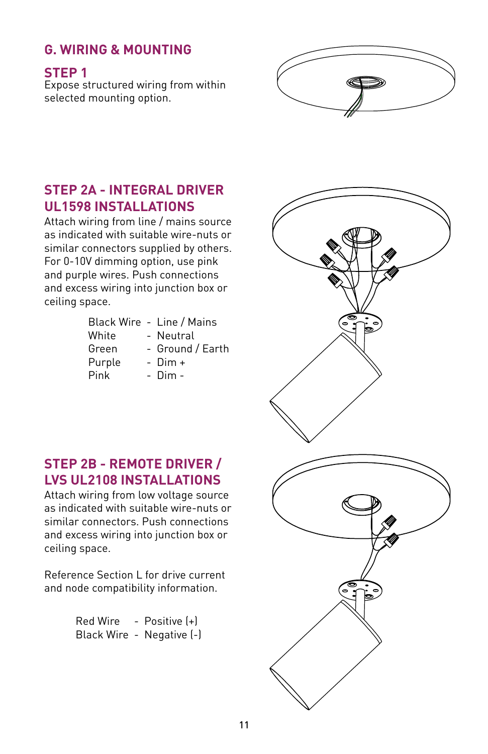# **G. WIRING & MOUNTING**

**STEP 1**

Expose structured wiring from within selected mounting option.



# **STEP 2A - INTEGRAL DRIVER UL1598 INSTALLATIONS**

Attach wiring from line / mains source as indicated with suitable wire-nuts or similar connectors supplied by others. For 0-10V dimming option, use pink and purple wires. Push connections and excess wiring into junction box or ceiling space.

|        | Black Wire - Line / Mains |
|--------|---------------------------|
| White  | - Neutral                 |
| Green  | - Ground / Earth          |
| Purple | $-$ Dim $+$               |
| Pink   | - Dim -                   |

#### **STEP 2B - REMOTE DRIVER / LVS UL2108 INSTALLATIONS**

Attach wiring from low voltage source as indicated with suitable wire-nuts or similar connectors. Push connections and excess wiring into junction box or ceiling space.

Reference Section L for drive current and node compatibility information.

| <b>Red Wire</b> | Positive [+] |
|-----------------|--------------|
| Black Wire -    | Negative [-] |

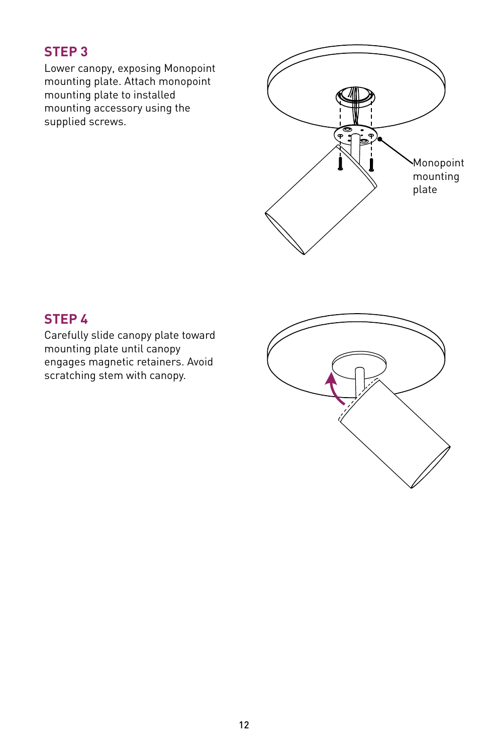# **STEP 3**

Lower canopy, exposing Monopoint mounting plate. Attach monopoint mounting plate to installed mounting accessory using the supplied screws.



# **STEP 4**

Carefully slide canopy plate toward mounting plate until canopy engages magnetic retainers. Avoid scratching stem with canopy.

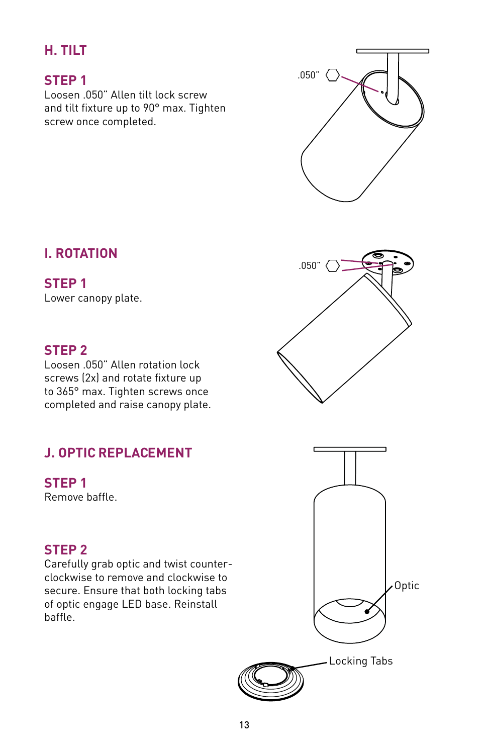## **H. TILT**

#### **STEP 1**

Loosen .050" Allen tilt lock screw and tilt fixture up to 90° max. Tighten screw once completed.



#### **STEP 1**

Lower canopy plate.

#### **STEP 2**

Loosen .050" Allen rotation lock screws (2x) and rotate fixture up to 365° max. Tighten screws once completed and raise canopy plate.

# **J. OPTIC REPLACEMENT**

**STEP 1** Remove baffle.

#### **STEP 2**

Carefully grab optic and twist counterclockwise to remove and clockwise to secure. Ensure that both locking tabs of optic engage LED base. Reinstall baffle.







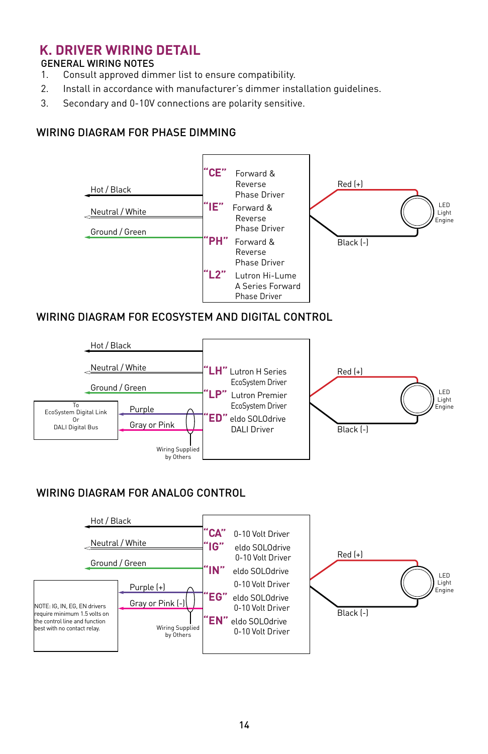#### **K. DRIVER WIRING DETAIL**

#### GENERAL WIRING NOTES

- 1. Consult approved dimmer list to ensure compatibility.
- 2. Install in accordance with manufacturer's dimmer installation guidelines.
- 3. Secondary and 0-10V connections are polarity sensitive.

#### WIRING DIAGRAM FOR PHASE DIMMING



#### WIRING DIAGRAM FOR ECOSYSTEM AND DIGITAL CONTROL



#### WIRING DIAGRAM FOR ANALOG CONTROL

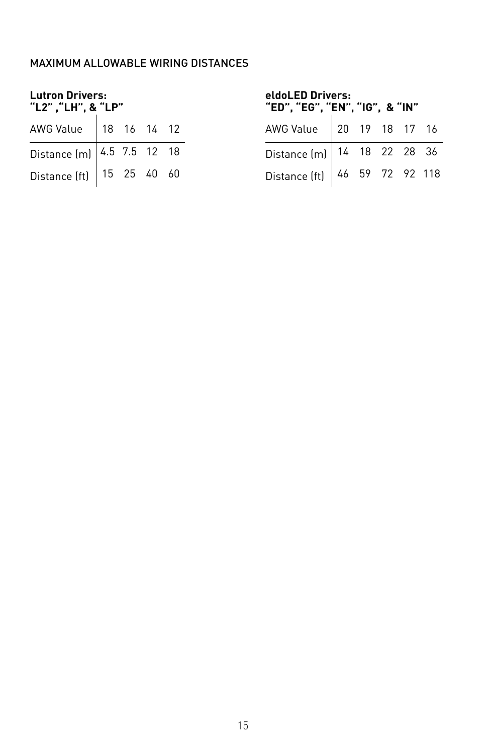#### MAXIMUM ALLOWABLE WIRING DISTANCES

| <b>Lutron Drivers:</b><br>"L2", "LH", & "LP" |  |  |  |  | eldoLED Drivers:<br>"ED", "EG", "EN", "IG", & "IN" |  |  |  |
|----------------------------------------------|--|--|--|--|----------------------------------------------------|--|--|--|
| AWG Value   18 16 14 12                      |  |  |  |  | AWG Value   20 19 18 17 16                         |  |  |  |
| Distance $[m]$ 4.5 7.5 12 18                 |  |  |  |  | Distance (m)   14 18 22 28 36                      |  |  |  |
| Distance (ft) $  15 25 40 60$                |  |  |  |  | Distance (ft) 46 59 72 92 118                      |  |  |  |